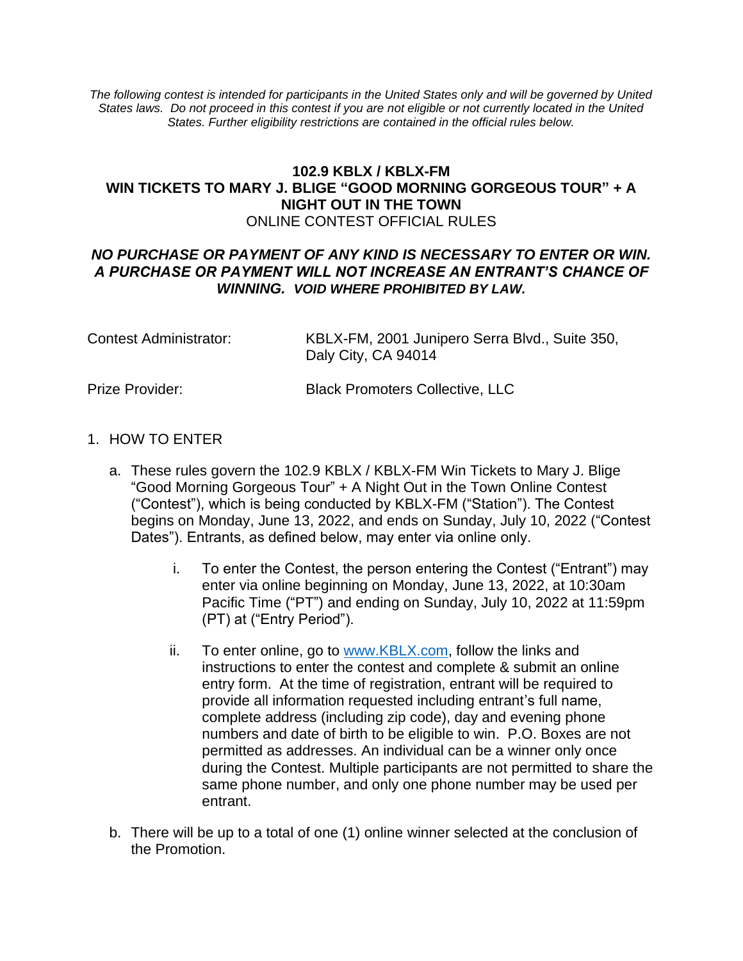*The following contest is intended for participants in the United States only and will be governed by United States laws. Do not proceed in this contest if you are not eligible or not currently located in the United States. Further eligibility restrictions are contained in the official rules below.*

## **102.9 KBLX / KBLX-FM WIN TICKETS TO MARY J. BLIGE "GOOD MORNING GORGEOUS TOUR" + A NIGHT OUT IN THE TOWN** ONLINE CONTEST OFFICIAL RULES

#### *NO PURCHASE OR PAYMENT OF ANY KIND IS NECESSARY TO ENTER OR WIN. A PURCHASE OR PAYMENT WILL NOT INCREASE AN ENTRANT'S CHANCE OF WINNING. VOID WHERE PROHIBITED BY LAW.*

| Contest Administrator: | KBLX-FM, 2001 Junipero Serra Blvd., Suite 350, |
|------------------------|------------------------------------------------|
|                        | Daly City, CA 94014                            |

#### Prize Provider: Black Promoters Collective, LLC

- 1. HOW TO ENTER
	- a. These rules govern the 102.9 KBLX / KBLX-FM Win Tickets to Mary J. Blige "Good Morning Gorgeous Tour" + A Night Out in the Town Online Contest ("Contest"), which is being conducted by KBLX-FM ("Station"). The Contest begins on Monday, June 13, 2022, and ends on Sunday, July 10, 2022 ("Contest Dates"). Entrants, as defined below, may enter via online only.
		- i. To enter the Contest, the person entering the Contest ("Entrant") may enter via online beginning on Monday, June 13, 2022, at 10:30am Pacific Time ("PT") and ending on Sunday, July 10, 2022 at 11:59pm (PT) at ("Entry Period").
		- ii. To enter online, go to [www.KBLX.com,](http://www.kblx.com/) follow the links and instructions to enter the contest and complete & submit an online entry form. At the time of registration, entrant will be required to provide all information requested including entrant's full name, complete address (including zip code), day and evening phone numbers and date of birth to be eligible to win. P.O. Boxes are not permitted as addresses. An individual can be a winner only once during the Contest. Multiple participants are not permitted to share the same phone number, and only one phone number may be used per entrant.
	- b. There will be up to a total of one (1) online winner selected at the conclusion of the Promotion.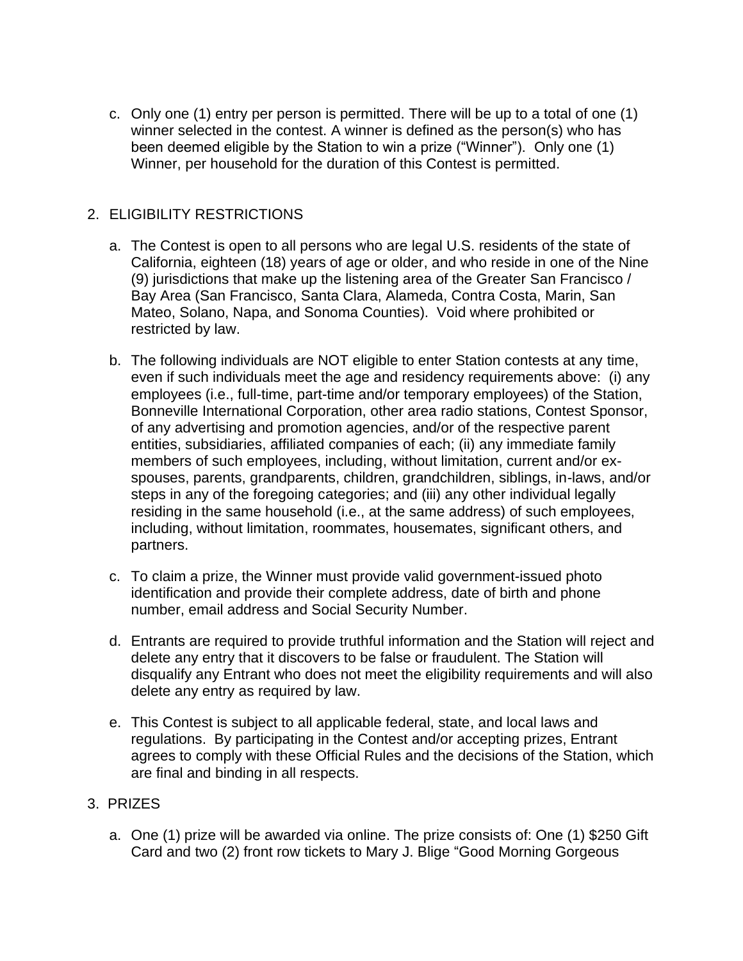c. Only one (1) entry per person is permitted. There will be up to a total of one (1) winner selected in the contest. A winner is defined as the person(s) who has been deemed eligible by the Station to win a prize ("Winner"). Only one (1) Winner, per household for the duration of this Contest is permitted.

# 2. ELIGIBILITY RESTRICTIONS

- a. The Contest is open to all persons who are legal U.S. residents of the state of California, eighteen (18) years of age or older, and who reside in one of the Nine (9) jurisdictions that make up the listening area of the Greater San Francisco / Bay Area (San Francisco, Santa Clara, Alameda, Contra Costa, Marin, San Mateo, Solano, Napa, and Sonoma Counties). Void where prohibited or restricted by law.
- b. The following individuals are NOT eligible to enter Station contests at any time, even if such individuals meet the age and residency requirements above: (i) any employees (i.e., full-time, part-time and/or temporary employees) of the Station, Bonneville International Corporation, other area radio stations, Contest Sponsor, of any advertising and promotion agencies, and/or of the respective parent entities, subsidiaries, affiliated companies of each; (ii) any immediate family members of such employees, including, without limitation, current and/or exspouses, parents, grandparents, children, grandchildren, siblings, in-laws, and/or steps in any of the foregoing categories; and (iii) any other individual legally residing in the same household (i.e., at the same address) of such employees, including, without limitation, roommates, housemates, significant others, and partners.
- c. To claim a prize, the Winner must provide valid government-issued photo identification and provide their complete address, date of birth and phone number, email address and Social Security Number.
- d. Entrants are required to provide truthful information and the Station will reject and delete any entry that it discovers to be false or fraudulent. The Station will disqualify any Entrant who does not meet the eligibility requirements and will also delete any entry as required by law.
- e. This Contest is subject to all applicable federal, state, and local laws and regulations. By participating in the Contest and/or accepting prizes, Entrant agrees to comply with these Official Rules and the decisions of the Station, which are final and binding in all respects.

## 3. PRIZES

a. One (1) prize will be awarded via online. The prize consists of: One (1) \$250 Gift Card and two (2) front row tickets to Mary J. Blige "Good Morning Gorgeous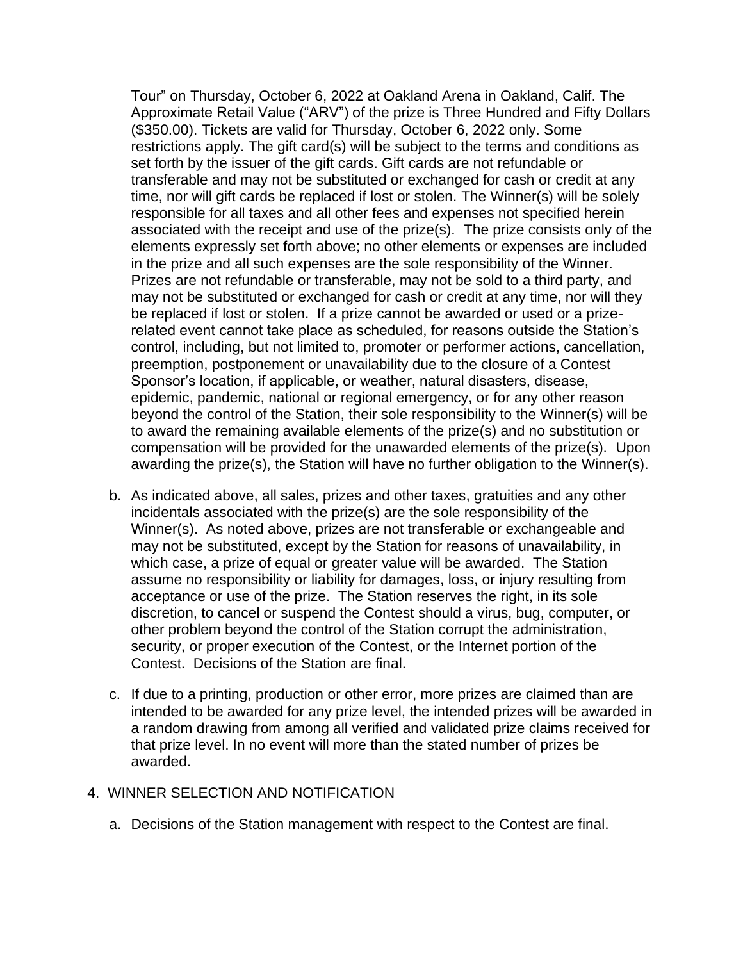Tour" on Thursday, October 6, 2022 at Oakland Arena in Oakland, Calif. The Approximate Retail Value ("ARV") of the prize is Three Hundred and Fifty Dollars (\$350.00). Tickets are valid for Thursday, October 6, 2022 only. Some restrictions apply. The gift card(s) will be subject to the terms and conditions as set forth by the issuer of the gift cards. Gift cards are not refundable or transferable and may not be substituted or exchanged for cash or credit at any time, nor will gift cards be replaced if lost or stolen. The Winner(s) will be solely responsible for all taxes and all other fees and expenses not specified herein associated with the receipt and use of the prize(s). The prize consists only of the elements expressly set forth above; no other elements or expenses are included in the prize and all such expenses are the sole responsibility of the Winner. Prizes are not refundable or transferable, may not be sold to a third party, and may not be substituted or exchanged for cash or credit at any time, nor will they be replaced if lost or stolen. If a prize cannot be awarded or used or a prizerelated event cannot take place as scheduled, for reasons outside the Station's control, including, but not limited to, promoter or performer actions, cancellation, preemption, postponement or unavailability due to the closure of a Contest Sponsor's location, if applicable, or weather, natural disasters, disease, epidemic, pandemic, national or regional emergency, or for any other reason beyond the control of the Station, their sole responsibility to the Winner(s) will be to award the remaining available elements of the prize(s) and no substitution or compensation will be provided for the unawarded elements of the prize(s). Upon awarding the prize(s), the Station will have no further obligation to the Winner(s).

- b. As indicated above, all sales, prizes and other taxes, gratuities and any other incidentals associated with the prize(s) are the sole responsibility of the Winner(s). As noted above, prizes are not transferable or exchangeable and may not be substituted, except by the Station for reasons of unavailability, in which case, a prize of equal or greater value will be awarded. The Station assume no responsibility or liability for damages, loss, or injury resulting from acceptance or use of the prize. The Station reserves the right, in its sole discretion, to cancel or suspend the Contest should a virus, bug, computer, or other problem beyond the control of the Station corrupt the administration, security, or proper execution of the Contest, or the Internet portion of the Contest. Decisions of the Station are final.
- c. If due to a printing, production or other error, more prizes are claimed than are intended to be awarded for any prize level, the intended prizes will be awarded in a random drawing from among all verified and validated prize claims received for that prize level. In no event will more than the stated number of prizes be awarded.

#### 4. WINNER SELECTION AND NOTIFICATION

a. Decisions of the Station management with respect to the Contest are final.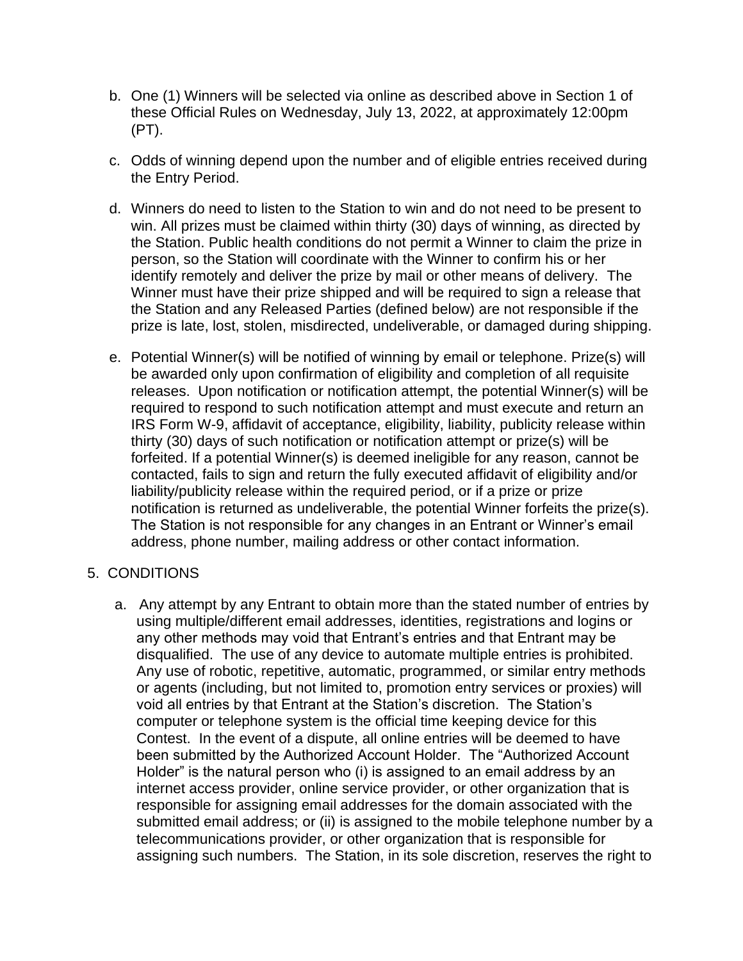- b. One (1) Winners will be selected via online as described above in Section 1 of these Official Rules on Wednesday, July 13, 2022, at approximately 12:00pm (PT).
- c. Odds of winning depend upon the number and of eligible entries received during the Entry Period.
- d. Winners do need to listen to the Station to win and do not need to be present to win. All prizes must be claimed within thirty (30) days of winning, as directed by the Station. Public health conditions do not permit a Winner to claim the prize in person, so the Station will coordinate with the Winner to confirm his or her identify remotely and deliver the prize by mail or other means of delivery. The Winner must have their prize shipped and will be required to sign a release that the Station and any Released Parties (defined below) are not responsible if the prize is late, lost, stolen, misdirected, undeliverable, or damaged during shipping.
- e. Potential Winner(s) will be notified of winning by email or telephone. Prize(s) will be awarded only upon confirmation of eligibility and completion of all requisite releases. Upon notification or notification attempt, the potential Winner(s) will be required to respond to such notification attempt and must execute and return an IRS Form W-9, affidavit of acceptance, eligibility, liability, publicity release within thirty (30) days of such notification or notification attempt or prize(s) will be forfeited. If a potential Winner(s) is deemed ineligible for any reason, cannot be contacted, fails to sign and return the fully executed affidavit of eligibility and/or liability/publicity release within the required period, or if a prize or prize notification is returned as undeliverable, the potential Winner forfeits the prize(s). The Station is not responsible for any changes in an Entrant or Winner's email address, phone number, mailing address or other contact information.

## 5. CONDITIONS

a. Any attempt by any Entrant to obtain more than the stated number of entries by using multiple/different email addresses, identities, registrations and logins or any other methods may void that Entrant's entries and that Entrant may be disqualified. The use of any device to automate multiple entries is prohibited. Any use of robotic, repetitive, automatic, programmed, or similar entry methods or agents (including, but not limited to, promotion entry services or proxies) will void all entries by that Entrant at the Station's discretion. The Station's computer or telephone system is the official time keeping device for this Contest. In the event of a dispute, all online entries will be deemed to have been submitted by the Authorized Account Holder. The "Authorized Account Holder" is the natural person who (i) is assigned to an email address by an internet access provider, online service provider, or other organization that is responsible for assigning email addresses for the domain associated with the submitted email address; or (ii) is assigned to the mobile telephone number by a telecommunications provider, or other organization that is responsible for assigning such numbers. The Station, in its sole discretion, reserves the right to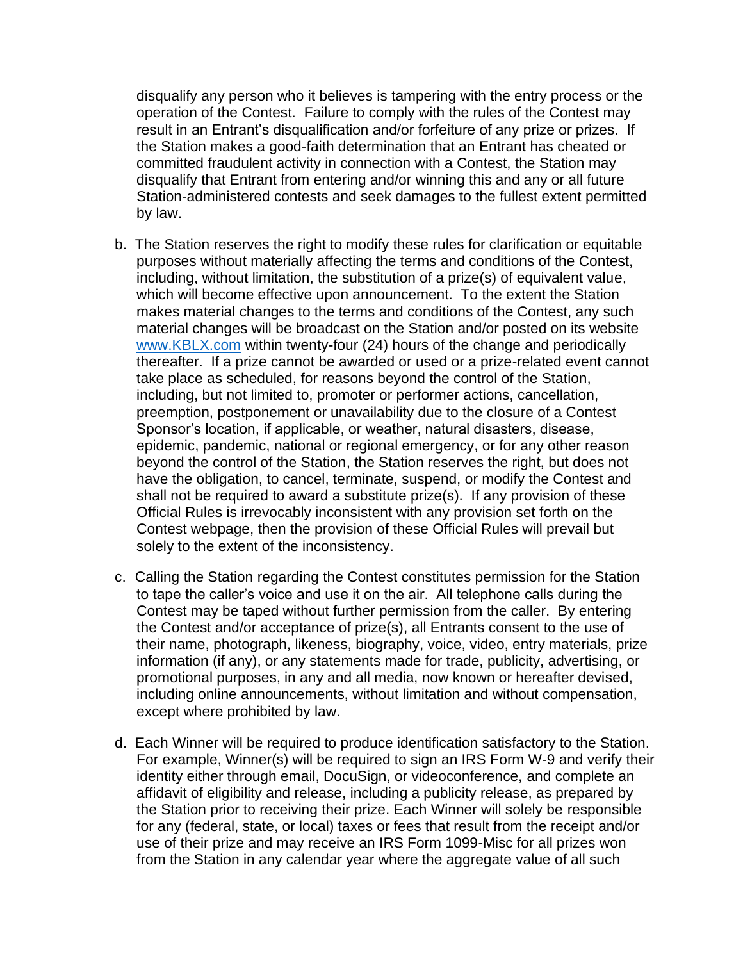disqualify any person who it believes is tampering with the entry process or the operation of the Contest. Failure to comply with the rules of the Contest may result in an Entrant's disqualification and/or forfeiture of any prize or prizes. If the Station makes a good-faith determination that an Entrant has cheated or committed fraudulent activity in connection with a Contest, the Station may disqualify that Entrant from entering and/or winning this and any or all future Station-administered contests and seek damages to the fullest extent permitted by law.

- b. The Station reserves the right to modify these rules for clarification or equitable purposes without materially affecting the terms and conditions of the Contest, including, without limitation, the substitution of a prize(s) of equivalent value, which will become effective upon announcement. To the extent the Station makes material changes to the terms and conditions of the Contest, any such material changes will be broadcast on the Station and/or posted on its website [www.KBLX.com](http://www.kblx.com/) within twenty-four (24) hours of the change and periodically thereafter. If a prize cannot be awarded or used or a prize-related event cannot take place as scheduled, for reasons beyond the control of the Station, including, but not limited to, promoter or performer actions, cancellation, preemption, postponement or unavailability due to the closure of a Contest Sponsor's location, if applicable, or weather, natural disasters, disease, epidemic, pandemic, national or regional emergency, or for any other reason beyond the control of the Station, the Station reserves the right, but does not have the obligation, to cancel, terminate, suspend, or modify the Contest and shall not be required to award a substitute prize(s). If any provision of these Official Rules is irrevocably inconsistent with any provision set forth on the Contest webpage, then the provision of these Official Rules will prevail but solely to the extent of the inconsistency.
- c. Calling the Station regarding the Contest constitutes permission for the Station to tape the caller's voice and use it on the air. All telephone calls during the Contest may be taped without further permission from the caller. By entering the Contest and/or acceptance of prize(s), all Entrants consent to the use of their name, photograph, likeness, biography, voice, video, entry materials, prize information (if any), or any statements made for trade, publicity, advertising, or promotional purposes, in any and all media, now known or hereafter devised, including online announcements, without limitation and without compensation, except where prohibited by law.
- d. Each Winner will be required to produce identification satisfactory to the Station. For example, Winner(s) will be required to sign an IRS Form W-9 and verify their identity either through email, DocuSign, or videoconference, and complete an affidavit of eligibility and release, including a publicity release, as prepared by the Station prior to receiving their prize. Each Winner will solely be responsible for any (federal, state, or local) taxes or fees that result from the receipt and/or use of their prize and may receive an IRS Form 1099-Misc for all prizes won from the Station in any calendar year where the aggregate value of all such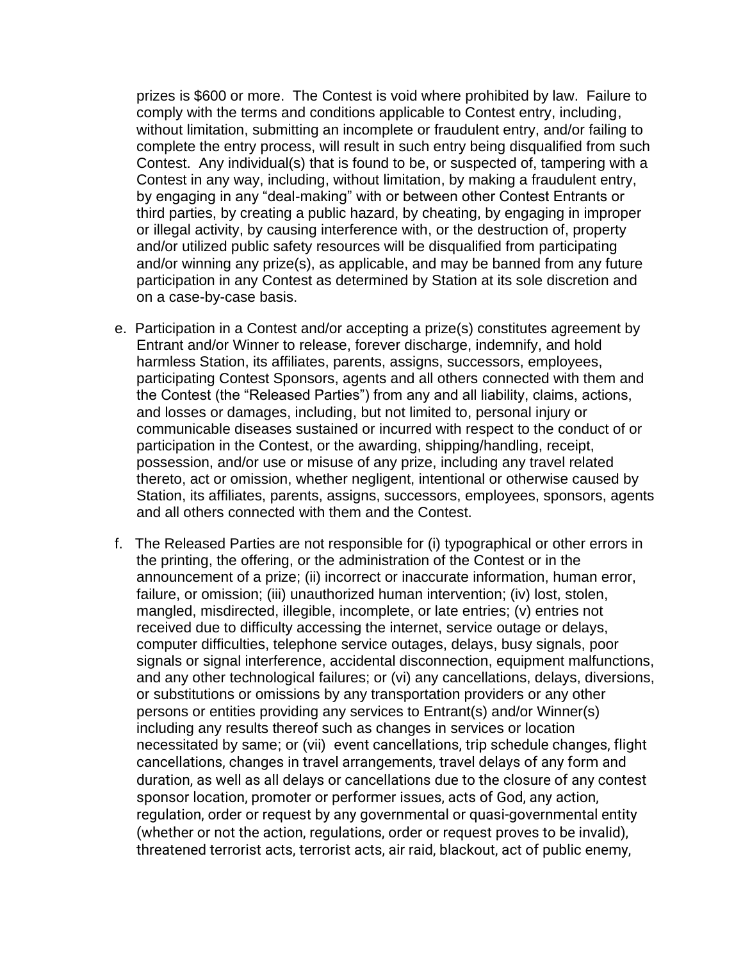prizes is \$600 or more. The Contest is void where prohibited by law. Failure to comply with the terms and conditions applicable to Contest entry, including, without limitation, submitting an incomplete or fraudulent entry, and/or failing to complete the entry process, will result in such entry being disqualified from such Contest. Any individual(s) that is found to be, or suspected of, tampering with a Contest in any way, including, without limitation, by making a fraudulent entry, by engaging in any "deal-making" with or between other Contest Entrants or third parties, by creating a public hazard, by cheating, by engaging in improper or illegal activity, by causing interference with, or the destruction of, property and/or utilized public safety resources will be disqualified from participating and/or winning any prize(s), as applicable, and may be banned from any future participation in any Contest as determined by Station at its sole discretion and on a case-by-case basis.

- e. Participation in a Contest and/or accepting a prize(s) constitutes agreement by Entrant and/or Winner to release, forever discharge, indemnify, and hold harmless Station, its affiliates, parents, assigns, successors, employees, participating Contest Sponsors, agents and all others connected with them and the Contest (the "Released Parties") from any and all liability, claims, actions, and losses or damages, including, but not limited to, personal injury or communicable diseases sustained or incurred with respect to the conduct of or participation in the Contest, or the awarding, shipping/handling, receipt, possession, and/or use or misuse of any prize, including any travel related thereto, act or omission, whether negligent, intentional or otherwise caused by Station, its affiliates, parents, assigns, successors, employees, sponsors, agents and all others connected with them and the Contest.
- f. The Released Parties are not responsible for (i) typographical or other errors in the printing, the offering, or the administration of the Contest or in the announcement of a prize; (ii) incorrect or inaccurate information, human error, failure, or omission; (iii) unauthorized human intervention; (iv) lost, stolen, mangled, misdirected, illegible, incomplete, or late entries; (v) entries not received due to difficulty accessing the internet, service outage or delays, computer difficulties, telephone service outages, delays, busy signals, poor signals or signal interference, accidental disconnection, equipment malfunctions, and any other technological failures; or (vi) any cancellations, delays, diversions, or substitutions or omissions by any transportation providers or any other persons or entities providing any services to Entrant(s) and/or Winner(s) including any results thereof such as changes in services or location necessitated by same; or (vii) event cancellations, trip schedule changes, flight cancellations, changes in travel arrangements, travel delays of any form and duration, as well as all delays or cancellations due to the closure of any contest sponsor location, promoter or performer issues, acts of God, any action, regulation, order or request by any governmental or quasi-governmental entity (whether or not the action, regulations, order or request proves to be invalid), threatened terrorist acts, terrorist acts, air raid, blackout, act of public enemy,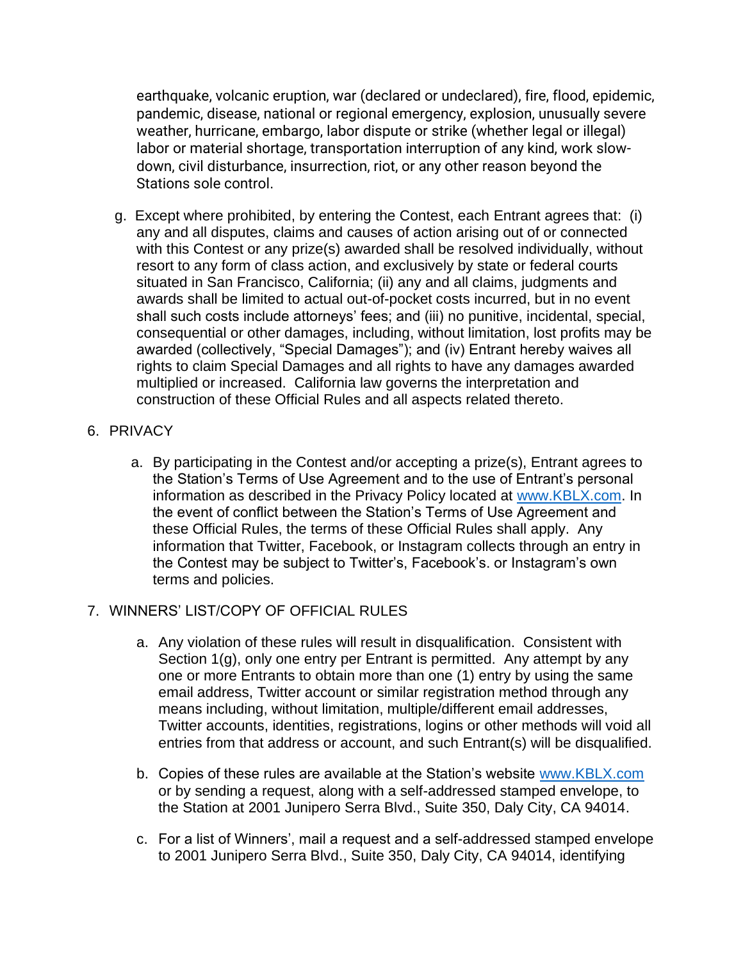earthquake, volcanic eruption, war (declared or undeclared), fire, flood, epidemic, pandemic, disease, national or regional emergency, explosion, unusually severe weather, hurricane, embargo, labor dispute or strike (whether legal or illegal) labor or material shortage, transportation interruption of any kind, work slowdown, civil disturbance, insurrection, riot, or any other reason beyond the Stations sole control.

- g. Except where prohibited, by entering the Contest, each Entrant agrees that: (i) any and all disputes, claims and causes of action arising out of or connected with this Contest or any prize(s) awarded shall be resolved individually, without resort to any form of class action, and exclusively by state or federal courts situated in San Francisco, California; (ii) any and all claims, judgments and awards shall be limited to actual out-of-pocket costs incurred, but in no event shall such costs include attorneys' fees; and (iii) no punitive, incidental, special, consequential or other damages, including, without limitation, lost profits may be awarded (collectively, "Special Damages"); and (iv) Entrant hereby waives all rights to claim Special Damages and all rights to have any damages awarded multiplied or increased. California law governs the interpretation and construction of these Official Rules and all aspects related thereto.
- 6. PRIVACY
	- a. By participating in the Contest and/or accepting a prize(s), Entrant agrees to the Station's Terms of Use Agreement and to the use of Entrant's personal information as described in the Privacy Policy located at [www.KBLX.com.](http://www.kblx.com/) In the event of conflict between the Station's Terms of Use Agreement and these Official Rules, the terms of these Official Rules shall apply. Any information that Twitter, Facebook, or Instagram collects through an entry in the Contest may be subject to Twitter's, Facebook's. or Instagram's own terms and policies.

# 7. WINNERS' LIST/COPY OF OFFICIAL RULES

- a. Any violation of these rules will result in disqualification. Consistent with Section 1(g), only one entry per Entrant is permitted. Any attempt by any one or more Entrants to obtain more than one (1) entry by using the same email address, Twitter account or similar registration method through any means including, without limitation, multiple/different email addresses, Twitter accounts, identities, registrations, logins or other methods will void all entries from that address or account, and such Entrant(s) will be disqualified.
- b. Copies of these rules are available at the Station's website [www.KBLX.com](http://www.kblx.com/) or by sending a request, along with a self-addressed stamped envelope, to the Station at 2001 Junipero Serra Blvd., Suite 350, Daly City, CA 94014.
- c. For a list of Winners', mail a request and a self-addressed stamped envelope to 2001 Junipero Serra Blvd., Suite 350, Daly City, CA 94014, identifying